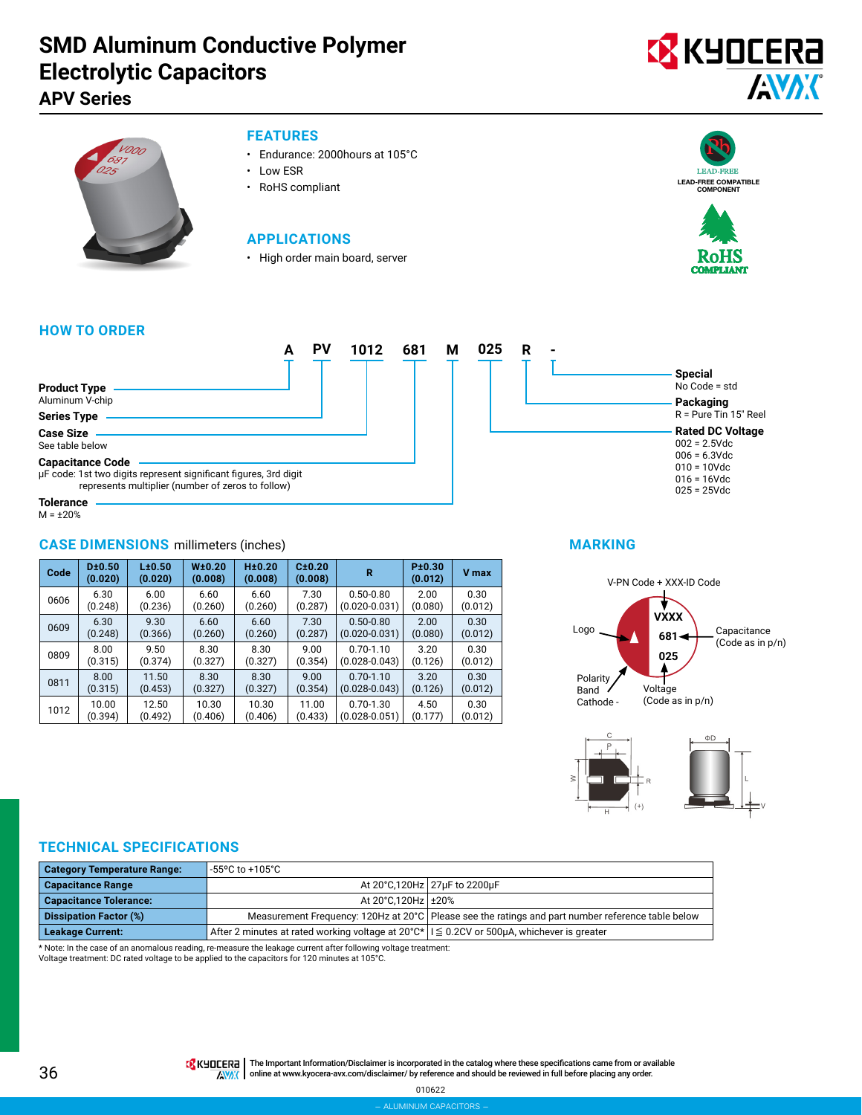## **SMD Aluminum Conductive Polymer Electrolytic Capacitors**

### **APV Series**





### **FEATURES**

- Endurance: 2000hours at 105°C
- Low ESR
- RoHS compliant

### **APPLICATIONS**

• High order main board, server





### **HOW TO ORDER**

|                                                                                                                                                  | <b>DV</b> | 1012 | 681 | М | 025 | R |  |
|--------------------------------------------------------------------------------------------------------------------------------------------------|-----------|------|-----|---|-----|---|--|
| <b>Product Type</b><br>Aluminum V-chip                                                                                                           |           |      |     |   |     |   |  |
| <b>Series Type</b>                                                                                                                               |           |      |     |   |     |   |  |
| <b>Case Size</b><br>See table below                                                                                                              |           |      |     |   |     |   |  |
| <b>Capacitance Code</b><br>µF code: 1st two digits represent significant figures, 3rd digit<br>represents multiplier (number of zeros to follow) |           |      |     |   |     |   |  |
| <b>Tolerance</b>                                                                                                                                 |           |      |     |   |     |   |  |

 $M = \pm 20\%$ 

### **CASE DIMENSIONS** millimeters (inches)

| Code | D±0.50<br>(0.020) | L±0.50<br>(0.020) | W <sub>±</sub> 0.20<br>(0.008) | H±0.20<br>(0.008) | C±0.20<br>(0.008) | R                 | P±0.30<br>(0.012) | <b>V</b> max |
|------|-------------------|-------------------|--------------------------------|-------------------|-------------------|-------------------|-------------------|--------------|
| 0606 | 6.30              | 6.00              | 6.60                           | 6.60              | 7.30              | $0.50 - 0.80$     | 2.00              | 0.30         |
|      | (0.248)           | (0.236)           | (0.260)                        | (0.260)           | (0.287)           | $(0.020 - 0.031)$ | (0.080)           | (0.012)      |
| 0609 | 6.30              | 9.30              | 6.60                           | 6.60              | 7.30              | $0.50 - 0.80$     | 2.00              | 0.30         |
|      | (0.248)           | (0.366)           | (0.260)                        | (0.260)           | (0.287)           | $(0.020 - 0.031)$ | (0.080)           | (0.012)      |
| 0809 | 8.00              | 9.50              | 8.30                           | 8.30              | 9.00              | $0.70 - 1.10$     | 3.20              | 0.30         |
|      | (0.315)           | (0.374)           | (0.327)                        | (0.327)           | (0.354)           | $(0.028 - 0.043)$ | (0.126)           | (0.012)      |
| 0811 | 8.00              | 11.50             | 8.30                           | 8.30              | 9.00              | $0.70 - 1.10$     | 3.20              | 0.30         |
|      | (0.315)           | (0.453)           | (0.327)                        | (0.327)           | (0.354)           | $(0.028 - 0.043)$ | (0.126)           | (0.012)      |
| 1012 | 10.00             | 12.50             | 10.30                          | 10.30             | 11.00             | $0.70 - 1.30$     | 4.50              | 0.30         |
|      | (0.394)           | (0.492)           | (0.406)                        | (0.406)           | (0.433)           | $(0.028 - 0.051)$ | (0.177)           | (0.012)      |



### **MARKING**





### **TECHNICAL SPECIFICATIONS**

| <b>Category Temperature Range:</b> | -55°C to +105°C                                                                                   |                                                                                                     |
|------------------------------------|---------------------------------------------------------------------------------------------------|-----------------------------------------------------------------------------------------------------|
| <b>Capacitance Range</b>           |                                                                                                   | At 20°C,120Hz 27µF to 2200µF                                                                        |
| <b>Capacitance Tolerance:</b>      | At 20°C.120Hz +20%                                                                                |                                                                                                     |
| <b>Dissipation Factor (%)</b>      |                                                                                                   | Measurement Frequency: 120Hz at 20°C   Please see the ratings and part number reference table below |
| <b>Leakage Current:</b>            | After 2 minutes at rated working voltage at 20°C*   I $\leq$ 0.2CV or 500µA, whichever is greater |                                                                                                     |

\* Note: In the case of an anomalous reading, re-measure the leakage current after following voltage treatment:

Voltage treatment: DC rated voltage to be applied to the capacitors for 120 minutes at 105°C.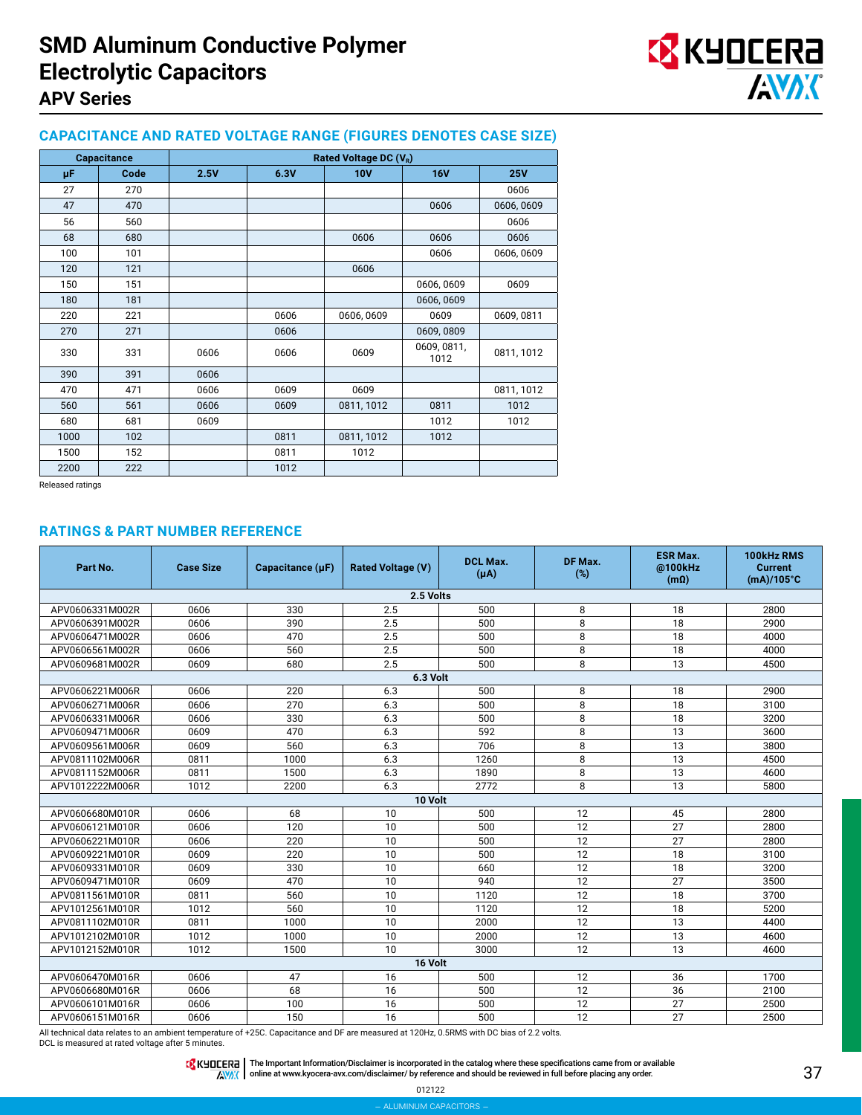

### **CAPACITANCE AND RATED VOLTAGE RANGE (FIGURES DENOTES CASE SIZE)**

|      | <b>Capacitance</b> | Rated Voltage DC (V <sub>R</sub> ) |      |            |                     |            |  |
|------|--------------------|------------------------------------|------|------------|---------------------|------------|--|
| μF   | Code               | 2.5V                               | 6.3V | <b>10V</b> | <b>16V</b>          | <b>25V</b> |  |
| 27   | 270                |                                    |      |            |                     | 0606       |  |
| 47   | 470                |                                    |      |            | 0606                | 0606,0609  |  |
| 56   | 560                |                                    |      |            |                     | 0606       |  |
| 68   | 680                |                                    |      | 0606       | 0606                | 0606       |  |
| 100  | 101                |                                    |      |            | 0606                | 0606,0609  |  |
| 120  | 121                |                                    |      | 0606       |                     |            |  |
| 150  | 151                |                                    |      |            | 0606,0609           | 0609       |  |
| 180  | 181                |                                    |      |            | 0606,0609           |            |  |
| 220  | 221                |                                    | 0606 | 0606, 0609 | 0609                | 0609,0811  |  |
| 270  | 271                |                                    | 0606 |            | 0609,0809           |            |  |
| 330  | 331                | 0606                               | 0606 | 0609       | 0609, 0811,<br>1012 | 0811, 1012 |  |
| 390  | 391                | 0606                               |      |            |                     |            |  |
| 470  | 471                | 0606                               | 0609 | 0609       |                     | 0811, 1012 |  |
| 560  | 561                | 0606                               | 0609 | 0811, 1012 | 0811                | 1012       |  |
| 680  | 681                | 0609                               |      |            | 1012                | 1012       |  |
| 1000 | 102                |                                    | 0811 | 0811, 1012 | 1012                |            |  |
| 1500 | 152                |                                    | 0811 | 1012       |                     |            |  |
| 2200 | 222                |                                    | 1012 |            |                     |            |  |

Released ratings

#### **RATINGS & PART NUMBER REFERENCE**

| Part No.        | <b>Case Size</b> | Capacitance $(\mu F)$ | <b>Rated Voltage (V)</b> | <b>DCL Max.</b><br>$(\mu A)$ | DF Max.<br>(%) | <b>ESR Max.</b><br>@100kHz<br>(m <sub>Ω</sub> ) | 100kHz RMS<br><b>Current</b><br>$(mA)/105^{\circ}C$ |
|-----------------|------------------|-----------------------|--------------------------|------------------------------|----------------|-------------------------------------------------|-----------------------------------------------------|
|                 |                  |                       | 2.5 Volts                |                              |                |                                                 |                                                     |
| APV0606331M002R | 0606             | 330                   | 2.5                      | 500                          | 8              | 18                                              | 2800                                                |
| APV0606391M002R | 0606             | 390                   | 2.5                      | 500                          | 8              | 18                                              | 2900                                                |
| APV0606471M002R | 0606             | 470                   | 2.5                      | 500                          | 8              | 18                                              | 4000                                                |
| APV0606561M002R | 0606             | 560                   | 2.5                      | 500                          | 8              | 18                                              | 4000                                                |
| APV0609681M002R | 0609             | 680                   | 2.5                      | 500                          | 8              | 13                                              | 4500                                                |
|                 |                  |                       | 6.3 Volt                 |                              |                |                                                 |                                                     |
| APV0606221M006R | 0606             | 220                   | 6.3                      | 500                          | 8              | 18                                              | 2900                                                |
| APV0606271M006R | 0606             | 270                   | 6.3                      | 500                          | 8              | 18                                              | 3100                                                |
| APV0606331M006R | 0606             | 330                   | 6.3                      | 500                          | 8              | 18                                              | 3200                                                |
| APV0609471M006R | 0609             | 470                   | 6.3                      | 592                          | 8              | 13                                              | 3600                                                |
| APV0609561M006R | 0609             | 560                   | 6.3                      | 706                          | 8              | 13                                              | 3800                                                |
| APV0811102M006R | 0811             | 1000                  | 6.3                      | 1260                         | 8              | 13                                              | 4500                                                |
| APV0811152M006R | 0811             | 1500                  | 6.3                      | 1890                         | 8              | 13                                              | 4600                                                |
| APV1012222M006R | 1012             | 2200                  | 6.3                      | 2772                         | 8              | 13                                              | 5800                                                |
|                 |                  |                       | 10 Volt                  |                              |                |                                                 |                                                     |
| APV0606680M010R | 0606             | 68                    | 10                       | 500                          | 12             | 45                                              | 2800                                                |
| APV0606121M010R | 0606             | 120                   | 10                       | 500                          | 12             | 27                                              | 2800                                                |
| APV0606221M010R | 0606             | 220                   | 10                       | 500                          | 12             | 27                                              | 2800                                                |
| APV0609221M010R | 0609             | 220                   | 10                       | 500                          | 12             | 18                                              | 3100                                                |
| APV0609331M010R | 0609             | 330                   | 10                       | 660                          | 12             | 18                                              | 3200                                                |
| APV0609471M010R | 0609             | 470                   | 10                       | 940                          | 12             | 27                                              | 3500                                                |
| APV0811561M010R | 0811             | 560                   | 10                       | 1120                         | 12             | 18                                              | 3700                                                |
| APV1012561M010R | 1012             | 560                   | 10                       | 1120                         | 12             | 18                                              | 5200                                                |
| APV0811102M010R | 0811             | 1000                  | 10                       | 2000                         | 12             | 13                                              | 4400                                                |
| APV1012102M010R | 1012             | 1000                  | 10                       | 2000                         | 12             | 13                                              | 4600                                                |
| APV1012152M010R | 1012             | 1500                  | 10                       | 3000                         | 12             | 13                                              | 4600                                                |
|                 |                  |                       | 16 Volt                  |                              |                |                                                 |                                                     |
| APV0606470M016R | 0606             | 47                    | 16                       | 500                          | 12             | 36                                              | 1700                                                |
| APV0606680M016R | 0606             | 68                    | 16                       | 500                          | 12             | 36                                              | 2100                                                |
| APV0606101M016R | 0606             | 100                   | 16                       | 500                          | 12             | 27                                              | 2500                                                |
| APV0606151M016R | 0606             | 150                   | 16                       | 500                          | 12             | 27                                              | 2500                                                |

All technical data relates to an ambient temperature of +25C. Capacitance and DF are measured at 120Hz, 0.5RMS with DC bias of 2.2 volts. DCL is measured at rated voltage after 5 minutes.

012122 – aluminum capacitors –

The Important Information/Disclaimer is incorporated in the catalog where these specifications came from or available<br>online at [www.kyocera-avx.com/disclaimer/](http://www.kyocera-avx.com/disclaimer/) by reference and should be reviewed in full before placing any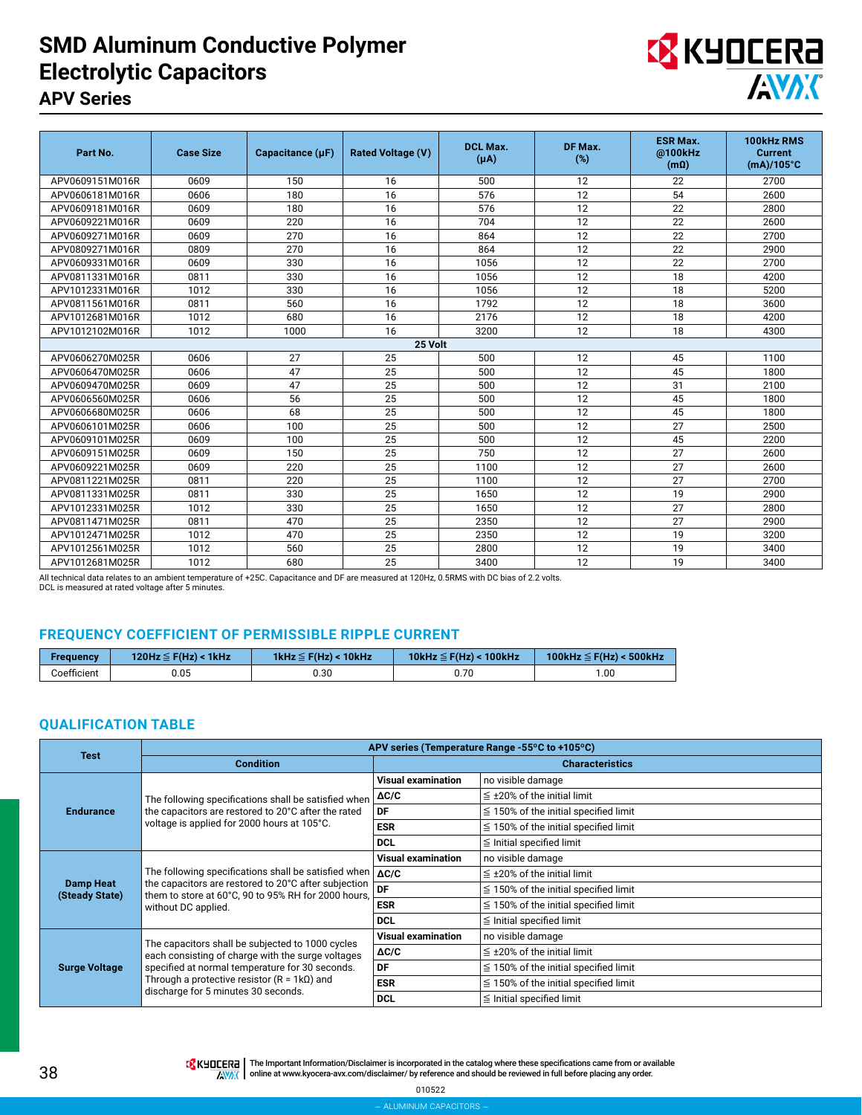## **SMD Aluminum Conductive Polymer Electrolytic Capacitors APV Series**



| Part No.        | <b>Case Size</b> | Capacitance (µF) | <b>Rated Voltage (V)</b> | <b>DCL Max.</b><br>$(\mu A)$ | DF Max.<br>(%)  | <b>ESR Max.</b><br>@100kHz<br>(m <sub>Ω</sub> ) | 100kHz RMS<br><b>Current</b><br>$(mA)/105^{\circ}C$ |
|-----------------|------------------|------------------|--------------------------|------------------------------|-----------------|-------------------------------------------------|-----------------------------------------------------|
| APV0609151M016R | 0609             | 150              | 16                       | 500                          | 12              | 22                                              | 2700                                                |
| APV0606181M016R | 0606             | 180              | 16                       | 576                          | 12              | 54                                              | 2600                                                |
| APV0609181M016R | 0609             | 180              | 16                       | 576                          | 12              | 22                                              | 2800                                                |
| APV0609221M016R | 0609             | 220              | 16                       | 704                          | 12              | 22                                              | 2600                                                |
| APV0609271M016R | 0609             | 270              | 16                       | 864                          | 12              | 22                                              | 2700                                                |
| APV0809271M016R | 0809             | 270              | 16                       | 864                          | 12              | 22                                              | 2900                                                |
| APV0609331M016R | 0609             | 330              | 16                       | 1056                         | 12              | 22                                              | 2700                                                |
| APV0811331M016R | 0811             | 330              | 16                       | 1056                         | 12              | 18                                              | 4200                                                |
| APV1012331M016R | 1012             | 330              | 16                       | 1056                         | 12              | 18                                              | 5200                                                |
| APV0811561M016R | 0811             | 560              | 16                       | 1792                         | 12              | 18                                              | 3600                                                |
| APV1012681M016R | 1012             | 680              | 16                       | 2176                         | 12              | 18                                              | 4200                                                |
| APV1012102M016R | 1012             | 1000             | 16                       | 3200                         | 12              | 18                                              | 4300                                                |
|                 |                  |                  | 25 Volt                  |                              |                 |                                                 |                                                     |
| APV0606270M025R | 0606             | 27               | 25                       | 500                          | 12              | 45                                              | 1100                                                |
| APV0606470M025R | 0606             | 47               | 25                       | 500                          | 12              | 45                                              | 1800                                                |
| APV0609470M025R | 0609             | 47               | 25                       | 500                          | 12              | 31                                              | 2100                                                |
| APV0606560M025R | 0606             | 56               | 25                       | 500                          | 12              | 45                                              | 1800                                                |
| APV0606680M025R | 0606             | 68               | 25                       | 500                          | 12              | 45                                              | 1800                                                |
| APV0606101M025R | 0606             | 100              | 25                       | 500                          | 12              | 27                                              | 2500                                                |
| APV0609101M025R | 0609             | 100              | 25                       | 500                          | 12              | 45                                              | 2200                                                |
| APV0609151M025R | 0609             | 150              | 25                       | 750                          | 12              | 27                                              | 2600                                                |
| APV0609221M025R | 0609             | 220              | 25                       | 1100                         | 12              | 27                                              | 2600                                                |
| APV0811221M025R | 0811             | 220              | 25                       | 1100                         | 12              | 27                                              | 2700                                                |
| APV0811331M025R | 0811             | 330              | 25                       | 1650                         | 12              | 19                                              | 2900                                                |
| APV1012331M025R | 1012             | 330              | 25                       | 1650                         | 12              | 27                                              | 2800                                                |
| APV0811471M025R | 0811             | 470              | 25                       | 2350                         | $\overline{12}$ | 27                                              | 2900                                                |
| APV1012471M025R | 1012             | 470              | 25                       | 2350                         | 12              | 19                                              | 3200                                                |
| APV1012561M025R | 1012             | 560              | 25                       | 2800                         | 12              | 19                                              | 3400                                                |
| APV1012681M025R | 1012             | 680              | 25                       | 3400                         | 12              | 19                                              | 3400                                                |

All technical data relates to an ambient temperature of +25C. Capacitance and DF are measured at 120Hz, 0.5RMS with DC bias of 2.2 volts.

DCL is measured at rated voltage after 5 minutes.

### **FREQUENCY COEFFICIENT OF PERMISSIBLE RIPPLE CURRENT**

| <b>Frequency</b> | 120Hz $\leq$ F(Hz) < 1kHz | 1kHz $\leq$ F(Hz) < 10kHz | 10kHz $\leq$ F(Hz) < 100kHz | 100kHz $\leq$ F(Hz) < 500kHz |
|------------------|---------------------------|---------------------------|-----------------------------|------------------------------|
| Coefficient      | 0.05                      | 0.30                      | 0.70                        | .00                          |

### **QUALIFICATION TABLE**

| <b>Test</b>                        |                                                                                                                                                                                                         |                           | APV series (Temperature Range -55°C to +105°C) |  |  |  |
|------------------------------------|---------------------------------------------------------------------------------------------------------------------------------------------------------------------------------------------------------|---------------------------|------------------------------------------------|--|--|--|
|                                    | <b>Condition</b>                                                                                                                                                                                        |                           | <b>Characteristics</b>                         |  |  |  |
|                                    |                                                                                                                                                                                                         | <b>Visual examination</b> | no visible damage                              |  |  |  |
|                                    | The following specifications shall be satisfied when                                                                                                                                                    | $\Delta C/C$              | $\leq$ ±20% of the initial limit               |  |  |  |
| <b>Endurance</b>                   | the capacitors are restored to 20°C after the rated                                                                                                                                                     | DF                        | $\leq$ 150% of the initial specified limit     |  |  |  |
|                                    | voltage is applied for 2000 hours at 105°C.                                                                                                                                                             | <b>ESR</b>                | $\leq$ 150% of the initial specified limit     |  |  |  |
|                                    |                                                                                                                                                                                                         | <b>DCL</b>                | $\leq$ Initial specified limit                 |  |  |  |
|                                    |                                                                                                                                                                                                         | <b>Visual examination</b> | no visible damage                              |  |  |  |
|                                    | The following specifications shall be satisfied when $\Delta C/C$<br>the capacitors are restored to 20°C after subjection<br>them to store at 60°C, 90 to 95% RH for 2000 hours,<br>without DC applied. |                           | $\leq$ ±20% of the initial limit               |  |  |  |
| <b>Damp Heat</b><br>(Steady State) |                                                                                                                                                                                                         | DF                        | $\leq$ 150% of the initial specified limit     |  |  |  |
|                                    |                                                                                                                                                                                                         | <b>ESR</b>                | $\leq$ 150% of the initial specified limit     |  |  |  |
|                                    |                                                                                                                                                                                                         | <b>DCL</b>                | $\leq$ Initial specified limit                 |  |  |  |
|                                    |                                                                                                                                                                                                         | <b>Visual examination</b> | no visible damage                              |  |  |  |
|                                    | The capacitors shall be subjected to 1000 cycles<br>each consisting of charge with the surge voltages                                                                                                   | $\Delta C/C$              | $\leq$ ±20% of the initial limit               |  |  |  |
| <b>Surge Voltage</b>               | specified at normal temperature for 30 seconds.                                                                                                                                                         | DF                        | $\leq$ 150% of the initial specified limit     |  |  |  |
|                                    | Through a protective resistor $(R = 1k\Omega)$ and<br>discharge for 5 minutes 30 seconds.                                                                                                               | <b>ESR</b>                | $\leq$ 150% of the initial specified limit     |  |  |  |
|                                    |                                                                                                                                                                                                         | <b>DCL</b>                | $\leq$ Initial specified limit                 |  |  |  |

**TA KHOLERA** The Important Information/Disclaimer is incorporated in the catalog where these specifications came from or available AVAX online at [www.kyocera-avx.com/disclaimer/](http://www.kyocera-avx.com/disclaimer/) by reference and should be reviewed in full before placing any order.

010522